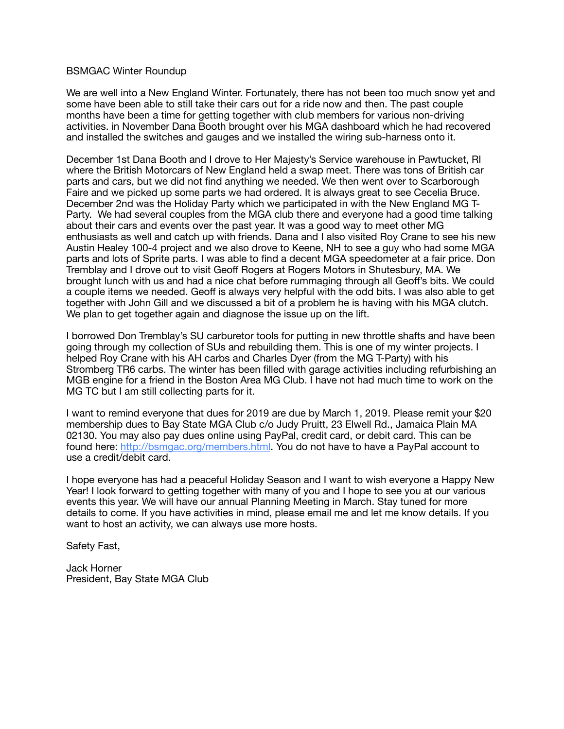## BSMGAC Winter Roundup

We are well into a New England Winter. Fortunately, there has not been too much snow yet and some have been able to still take their cars out for a ride now and then. The past couple months have been a time for getting together with club members for various non-driving activities. in November Dana Booth brought over his MGA dashboard which he had recovered and installed the switches and gauges and we installed the wiring sub-harness onto it.

December 1st Dana Booth and I drove to Her Majesty's Service warehouse in Pawtucket, RI where the British Motorcars of New England held a swap meet. There was tons of British car parts and cars, but we did not find anything we needed. We then went over to Scarborough Faire and we picked up some parts we had ordered. It is always great to see Cecelia Bruce. December 2nd was the Holiday Party which we participated in with the New England MG T-Party. We had several couples from the MGA club there and everyone had a good time talking about their cars and events over the past year. It was a good way to meet other MG enthusiasts as well and catch up with friends. Dana and I also visited Roy Crane to see his new Austin Healey 100-4 project and we also drove to Keene, NH to see a guy who had some MGA parts and lots of Sprite parts. I was able to find a decent MGA speedometer at a fair price. Don Tremblay and I drove out to visit Geoff Rogers at Rogers Motors in Shutesbury, MA. We brought lunch with us and had a nice chat before rummaging through all Geoff's bits. We could a couple items we needed. Geoff is always very helpful with the odd bits. I was also able to get together with John Gill and we discussed a bit of a problem he is having with his MGA clutch. We plan to get together again and diagnose the issue up on the lift.

I borrowed Don Tremblay's SU carburetor tools for putting in new throttle shafts and have been going through my collection of SUs and rebuilding them. This is one of my winter projects. I helped Roy Crane with his AH carbs and Charles Dyer (from the MG T-Party) with his Stromberg TR6 carbs. The winter has been filled with garage activities including refurbishing an MGB engine for a friend in the Boston Area MG Club. I have not had much time to work on the MG TC but I am still collecting parts for it.

I want to remind everyone that dues for 2019 are due by March 1, 2019. Please remit your \$20 membership dues to Bay State MGA Club c/o Judy Pruitt, 23 Elwell Rd., Jamaica Plain MA 02130. You may also pay dues online using PayPal, credit card, or debit card. This can be found here: [http://bsmgac.org/members.html.](http://bsmgac.org/members.html) You do not have to have a PayPal account to use a credit/debit card.

I hope everyone has had a peaceful Holiday Season and I want to wish everyone a Happy New Year! I look forward to getting together with many of you and I hope to see you at our various events this year. We will have our annual Planning Meeting in March. Stay tuned for more details to come. If you have activities in mind, please email me and let me know details. If you want to host an activity, we can always use more hosts.

Safety Fast,

Jack Horner President, Bay State MGA Club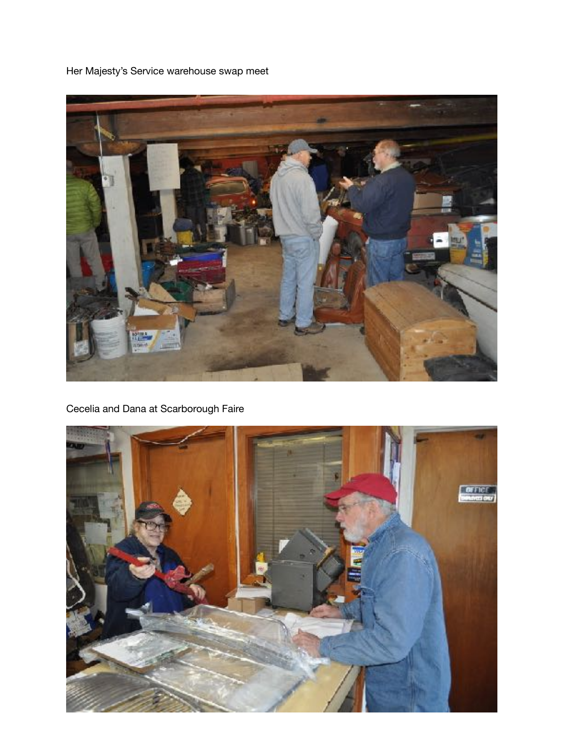Her Majesty's Service warehouse swap meet



Cecelia and Dana at Scarborough Faire